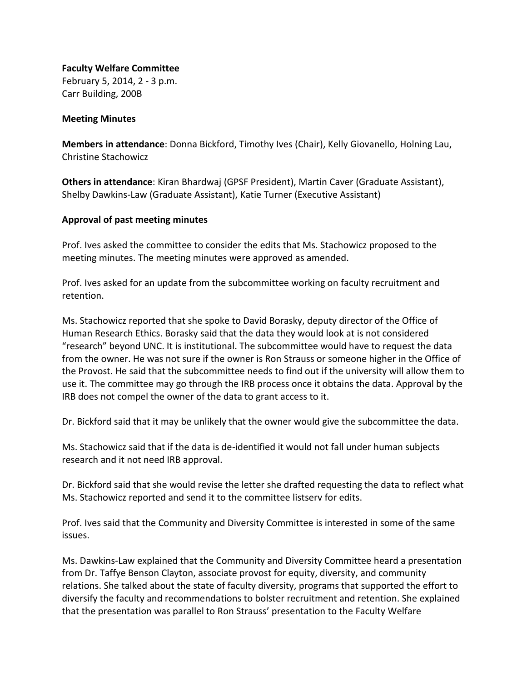**Faculty Welfare Committee** February 5, 2014, 2 - 3 p.m. Carr Building, 200B

#### **Meeting Minutes**

**Members in attendance**: Donna Bickford, Timothy Ives (Chair), Kelly Giovanello, Holning Lau, Christine Stachowicz

**Others in attendance**: Kiran Bhardwaj (GPSF President), Martin Caver (Graduate Assistant), Shelby Dawkins-Law (Graduate Assistant), Katie Turner (Executive Assistant)

#### **Approval of past meeting minutes**

Prof. Ives asked the committee to consider the edits that Ms. Stachowicz proposed to the meeting minutes. The meeting minutes were approved as amended.

Prof. Ives asked for an update from the subcommittee working on faculty recruitment and retention.

Ms. Stachowicz reported that she spoke to David Borasky, deputy director of the Office of Human Research Ethics. Borasky said that the data they would look at is not considered "research" beyond UNC. It is institutional. The subcommittee would have to request the data from the owner. He was not sure if the owner is Ron Strauss or someone higher in the Office of the Provost. He said that the subcommittee needs to find out if the university will allow them to use it. The committee may go through the IRB process once it obtains the data. Approval by the IRB does not compel the owner of the data to grant access to it.

Dr. Bickford said that it may be unlikely that the owner would give the subcommittee the data.

Ms. Stachowicz said that if the data is de-identified it would not fall under human subjects research and it not need IRB approval.

Dr. Bickford said that she would revise the letter she drafted requesting the data to reflect what Ms. Stachowicz reported and send it to the committee listserv for edits.

Prof. Ives said that the Community and Diversity Committee is interested in some of the same issues.

Ms. Dawkins-Law explained that the Community and Diversity Committee heard a presentation from Dr. Taffye Benson Clayton, associate provost for equity, diversity, and community relations. She talked about the state of faculty diversity, programs that supported the effort to diversify the faculty and recommendations to bolster recruitment and retention. She explained that the presentation was parallel to Ron Strauss' presentation to the Faculty Welfare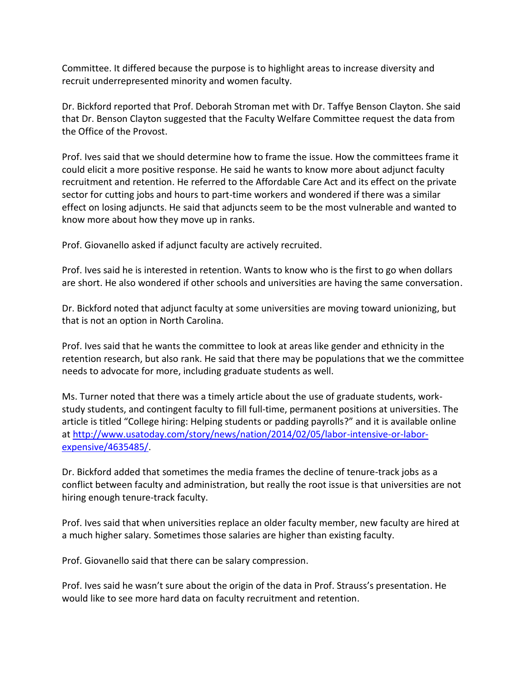Committee. It differed because the purpose is to highlight areas to increase diversity and recruit underrepresented minority and women faculty.

Dr. Bickford reported that Prof. Deborah Stroman met with Dr. Taffye Benson Clayton. She said that Dr. Benson Clayton suggested that the Faculty Welfare Committee request the data from the Office of the Provost.

Prof. Ives said that we should determine how to frame the issue. How the committees frame it could elicit a more positive response. He said he wants to know more about adjunct faculty recruitment and retention. He referred to the Affordable Care Act and its effect on the private sector for cutting jobs and hours to part-time workers and wondered if there was a similar effect on losing adjuncts. He said that adjuncts seem to be the most vulnerable and wanted to know more about how they move up in ranks.

Prof. Giovanello asked if adjunct faculty are actively recruited.

Prof. Ives said he is interested in retention. Wants to know who is the first to go when dollars are short. He also wondered if other schools and universities are having the same conversation.

Dr. Bickford noted that adjunct faculty at some universities are moving toward unionizing, but that is not an option in North Carolina.

Prof. Ives said that he wants the committee to look at areas like gender and ethnicity in the retention research, but also rank. He said that there may be populations that we the committee needs to advocate for more, including graduate students as well.

Ms. Turner noted that there was a timely article about the use of graduate students, workstudy students, and contingent faculty to fill full-time, permanent positions at universities. The article is titled "College hiring: Helping students or padding payrolls?" and it is available online at [http://www.usatoday.com/story/news/nation/2014/02/05/labor-intensive-or-labor](http://www.usatoday.com/story/news/nation/2014/02/05/labor-intensive-or-labor-expensive/4635485/)[expensive/4635485/.](http://www.usatoday.com/story/news/nation/2014/02/05/labor-intensive-or-labor-expensive/4635485/)

Dr. Bickford added that sometimes the media frames the decline of tenure-track jobs as a conflict between faculty and administration, but really the root issue is that universities are not hiring enough tenure-track faculty.

Prof. Ives said that when universities replace an older faculty member, new faculty are hired at a much higher salary. Sometimes those salaries are higher than existing faculty.

Prof. Giovanello said that there can be salary compression.

Prof. Ives said he wasn't sure about the origin of the data in Prof. Strauss's presentation. He would like to see more hard data on faculty recruitment and retention.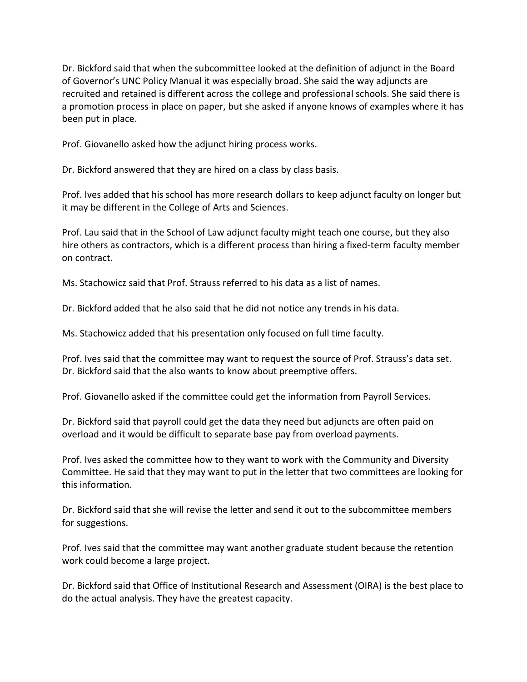Dr. Bickford said that when the subcommittee looked at the definition of adjunct in the Board of Governor's UNC Policy Manual it was especially broad. She said the way adjuncts are recruited and retained is different across the college and professional schools. She said there is a promotion process in place on paper, but she asked if anyone knows of examples where it has been put in place.

Prof. Giovanello asked how the adjunct hiring process works.

Dr. Bickford answered that they are hired on a class by class basis.

Prof. Ives added that his school has more research dollars to keep adjunct faculty on longer but it may be different in the College of Arts and Sciences.

Prof. Lau said that in the School of Law adjunct faculty might teach one course, but they also hire others as contractors, which is a different process than hiring a fixed-term faculty member on contract.

Ms. Stachowicz said that Prof. Strauss referred to his data as a list of names.

Dr. Bickford added that he also said that he did not notice any trends in his data.

Ms. Stachowicz added that his presentation only focused on full time faculty.

Prof. Ives said that the committee may want to request the source of Prof. Strauss's data set. Dr. Bickford said that the also wants to know about preemptive offers.

Prof. Giovanello asked if the committee could get the information from Payroll Services.

Dr. Bickford said that payroll could get the data they need but adjuncts are often paid on overload and it would be difficult to separate base pay from overload payments.

Prof. Ives asked the committee how to they want to work with the Community and Diversity Committee. He said that they may want to put in the letter that two committees are looking for this information.

Dr. Bickford said that she will revise the letter and send it out to the subcommittee members for suggestions.

Prof. Ives said that the committee may want another graduate student because the retention work could become a large project.

Dr. Bickford said that Office of Institutional Research and Assessment (OIRA) is the best place to do the actual analysis. They have the greatest capacity.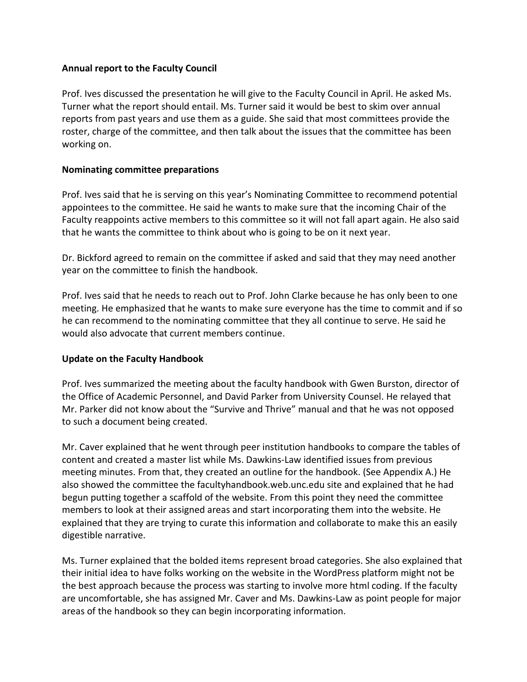### **Annual report to the Faculty Council**

Prof. Ives discussed the presentation he will give to the Faculty Council in April. He asked Ms. Turner what the report should entail. Ms. Turner said it would be best to skim over annual reports from past years and use them as a guide. She said that most committees provide the roster, charge of the committee, and then talk about the issues that the committee has been working on.

## **Nominating committee preparations**

Prof. Ives said that he is serving on this year's Nominating Committee to recommend potential appointees to the committee. He said he wants to make sure that the incoming Chair of the Faculty reappoints active members to this committee so it will not fall apart again. He also said that he wants the committee to think about who is going to be on it next year.

Dr. Bickford agreed to remain on the committee if asked and said that they may need another year on the committee to finish the handbook.

Prof. Ives said that he needs to reach out to Prof. John Clarke because he has only been to one meeting. He emphasized that he wants to make sure everyone has the time to commit and if so he can recommend to the nominating committee that they all continue to serve. He said he would also advocate that current members continue.

# **Update on the Faculty Handbook**

Prof. Ives summarized the meeting about the faculty handbook with Gwen Burston, director of the Office of Academic Personnel, and David Parker from University Counsel. He relayed that Mr. Parker did not know about the "Survive and Thrive" manual and that he was not opposed to such a document being created.

Mr. Caver explained that he went through peer institution handbooks to compare the tables of content and created a master list while Ms. Dawkins-Law identified issues from previous meeting minutes. From that, they created an outline for the handbook. (See Appendix A.) He also showed the committee the facultyhandbook.web.unc.edu site and explained that he had begun putting together a scaffold of the website. From this point they need the committee members to look at their assigned areas and start incorporating them into the website. He explained that they are trying to curate this information and collaborate to make this an easily digestible narrative.

Ms. Turner explained that the bolded items represent broad categories. She also explained that their initial idea to have folks working on the website in the WordPress platform might not be the best approach because the process was starting to involve more html coding. If the faculty are uncomfortable, she has assigned Mr. Caver and Ms. Dawkins-Law as point people for major areas of the handbook so they can begin incorporating information.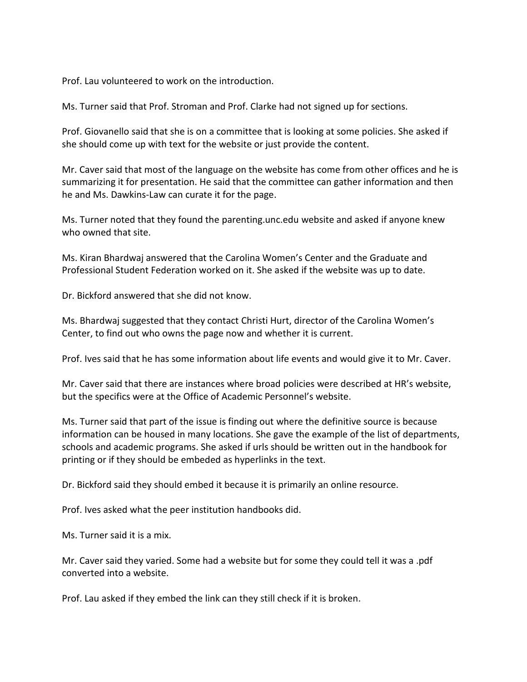Prof. Lau volunteered to work on the introduction.

Ms. Turner said that Prof. Stroman and Prof. Clarke had not signed up for sections.

Prof. Giovanello said that she is on a committee that is looking at some policies. She asked if she should come up with text for the website or just provide the content.

Mr. Caver said that most of the language on the website has come from other offices and he is summarizing it for presentation. He said that the committee can gather information and then he and Ms. Dawkins-Law can curate it for the page.

Ms. Turner noted that they found the parenting.unc.edu website and asked if anyone knew who owned that site.

Ms. Kiran Bhardwaj answered that the Carolina Women's Center and the Graduate and Professional Student Federation worked on it. She asked if the website was up to date.

Dr. Bickford answered that she did not know.

Ms. Bhardwaj suggested that they contact Christi Hurt, director of the Carolina Women's Center, to find out who owns the page now and whether it is current.

Prof. Ives said that he has some information about life events and would give it to Mr. Caver.

Mr. Caver said that there are instances where broad policies were described at HR's website, but the specifics were at the Office of Academic Personnel's website.

Ms. Turner said that part of the issue is finding out where the definitive source is because information can be housed in many locations. She gave the example of the list of departments, schools and academic programs. She asked if urls should be written out in the handbook for printing or if they should be embeded as hyperlinks in the text.

Dr. Bickford said they should embed it because it is primarily an online resource.

Prof. Ives asked what the peer institution handbooks did.

Ms. Turner said it is a mix.

Mr. Caver said they varied. Some had a website but for some they could tell it was a .pdf converted into a website.

Prof. Lau asked if they embed the link can they still check if it is broken.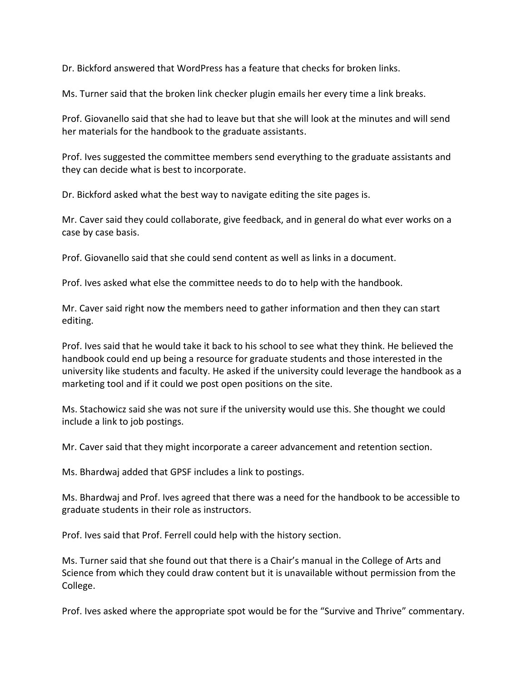Dr. Bickford answered that WordPress has a feature that checks for broken links.

Ms. Turner said that the broken link checker plugin emails her every time a link breaks.

Prof. Giovanello said that she had to leave but that she will look at the minutes and will send her materials for the handbook to the graduate assistants.

Prof. Ives suggested the committee members send everything to the graduate assistants and they can decide what is best to incorporate.

Dr. Bickford asked what the best way to navigate editing the site pages is.

Mr. Caver said they could collaborate, give feedback, and in general do what ever works on a case by case basis.

Prof. Giovanello said that she could send content as well as links in a document.

Prof. Ives asked what else the committee needs to do to help with the handbook.

Mr. Caver said right now the members need to gather information and then they can start editing.

Prof. Ives said that he would take it back to his school to see what they think. He believed the handbook could end up being a resource for graduate students and those interested in the university like students and faculty. He asked if the university could leverage the handbook as a marketing tool and if it could we post open positions on the site.

Ms. Stachowicz said she was not sure if the university would use this. She thought we could include a link to job postings.

Mr. Caver said that they might incorporate a career advancement and retention section.

Ms. Bhardwaj added that GPSF includes a link to postings.

Ms. Bhardwaj and Prof. Ives agreed that there was a need for the handbook to be accessible to graduate students in their role as instructors.

Prof. Ives said that Prof. Ferrell could help with the history section.

Ms. Turner said that she found out that there is a Chair's manual in the College of Arts and Science from which they could draw content but it is unavailable without permission from the College.

Prof. Ives asked where the appropriate spot would be for the "Survive and Thrive" commentary.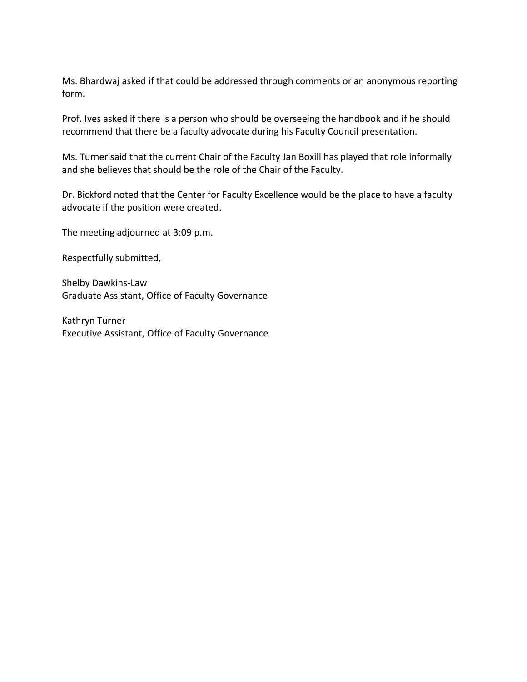Ms. Bhardwaj asked if that could be addressed through comments or an anonymous reporting form.

Prof. Ives asked if there is a person who should be overseeing the handbook and if he should recommend that there be a faculty advocate during his Faculty Council presentation.

Ms. Turner said that the current Chair of the Faculty Jan Boxill has played that role informally and she believes that should be the role of the Chair of the Faculty.

Dr. Bickford noted that the Center for Faculty Excellence would be the place to have a faculty advocate if the position were created.

The meeting adjourned at 3:09 p.m.

Respectfully submitted,

Shelby Dawkins-Law Graduate Assistant, Office of Faculty Governance

Kathryn Turner Executive Assistant, Office of Faculty Governance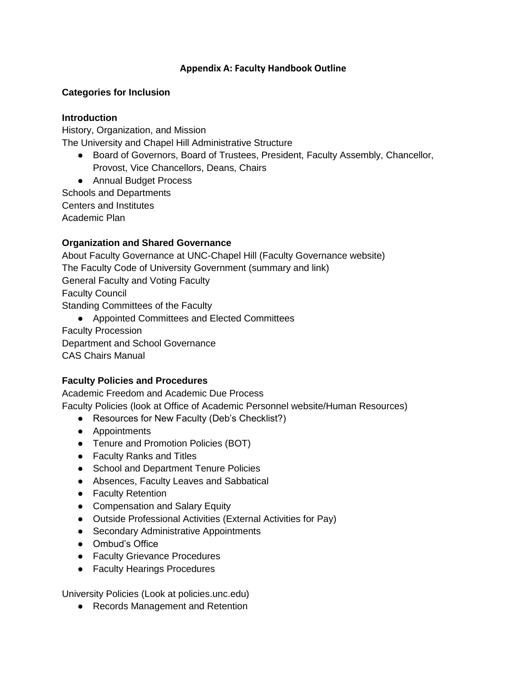## **Appendix A: Faculty Handbook Outline**

## **Categories for Inclusion**

### **Introduction**

History, Organization, and Mission The University and Chapel Hill Administrative Structure

- Board of Governors, Board of Trustees, President, Faculty Assembly, Chancellor, Provost, Vice Chancellors, Deans, Chairs
- Annual Budget Process

Schools and Departments Centers and Institutes

Academic Plan

# **Organization and Shared Governance**

About Faculty Governance at UNC-Chapel Hill (Faculty Governance website) The Faculty Code of University Government (summary and link) General Faculty and Voting Faculty Faculty Council Standing Committees of the Faculty ● Appointed Committees and Elected Committees

Faculty Procession Department and School Governance

CAS Chairs Manual

# **Faculty Policies and Procedures**

Academic Freedom and Academic Due Process

Faculty Policies (look at Office of Academic Personnel website/Human Resources)

- Resources for New Faculty (Deb's Checklist?)
- Appointments
- Tenure and Promotion Policies (BOT)
- Faculty Ranks and Titles
- School and Department Tenure Policies
- Absences, Faculty Leaves and Sabbatical
- Faculty Retention
- Compensation and Salary Equity
- Outside Professional Activities (External Activities for Pay)
- Secondary Administrative Appointments
- Ombud's Office
- Faculty Grievance Procedures
- Faculty Hearings Procedures

University Policies (Look at policies.unc.edu)

● Records Management and Retention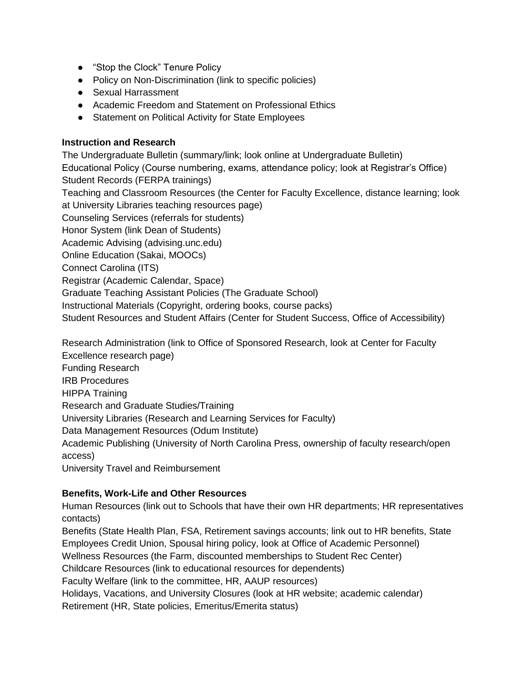- "Stop the Clock" Tenure Policy
- Policy on Non-Discrimination (link to specific policies)
- Sexual Harrassment
- Academic Freedom and Statement on Professional Ethics
- Statement on Political Activity for State Employees

#### **Instruction and Research**

The Undergraduate Bulletin (summary/link; look online at Undergraduate Bulletin) Educational Policy (Course numbering, exams, attendance policy; look at Registrar's Office) Student Records (FERPA trainings) Teaching and Classroom Resources (the Center for Faculty Excellence, distance learning; look at University Libraries teaching resources page) Counseling Services (referrals for students) Honor System (link Dean of Students) Academic Advising (advising.unc.edu) Online Education (Sakai, MOOCs) Connect Carolina (ITS) Registrar (Academic Calendar, Space) Graduate Teaching Assistant Policies (The Graduate School) Instructional Materials (Copyright, ordering books, course packs) Student Resources and Student Affairs (Center for Student Success, Office of Accessibility)

Research Administration (link to Office of Sponsored Research, look at Center for Faculty

Excellence research page)

Funding Research

IRB Procedures

HIPPA Training

Research and Graduate Studies/Training

University Libraries (Research and Learning Services for Faculty)

Data Management Resources (Odum Institute)

Academic Publishing (University of North Carolina Press, ownership of faculty research/open access)

University Travel and Reimbursement

# **Benefits, Work-Life and Other Resources**

Human Resources (link out to Schools that have their own HR departments; HR representatives contacts)

Benefits (State Health Plan, FSA, Retirement savings accounts; link out to HR benefits, State Employees Credit Union, Spousal hiring policy, look at Office of Academic Personnel) Wellness Resources (the Farm, discounted memberships to Student Rec Center) Childcare Resources (link to educational resources for dependents) Faculty Welfare (link to the committee, HR, AAUP resources) Holidays, Vacations, and University Closures (look at HR website; academic calendar) Retirement (HR, State policies, Emeritus/Emerita status)